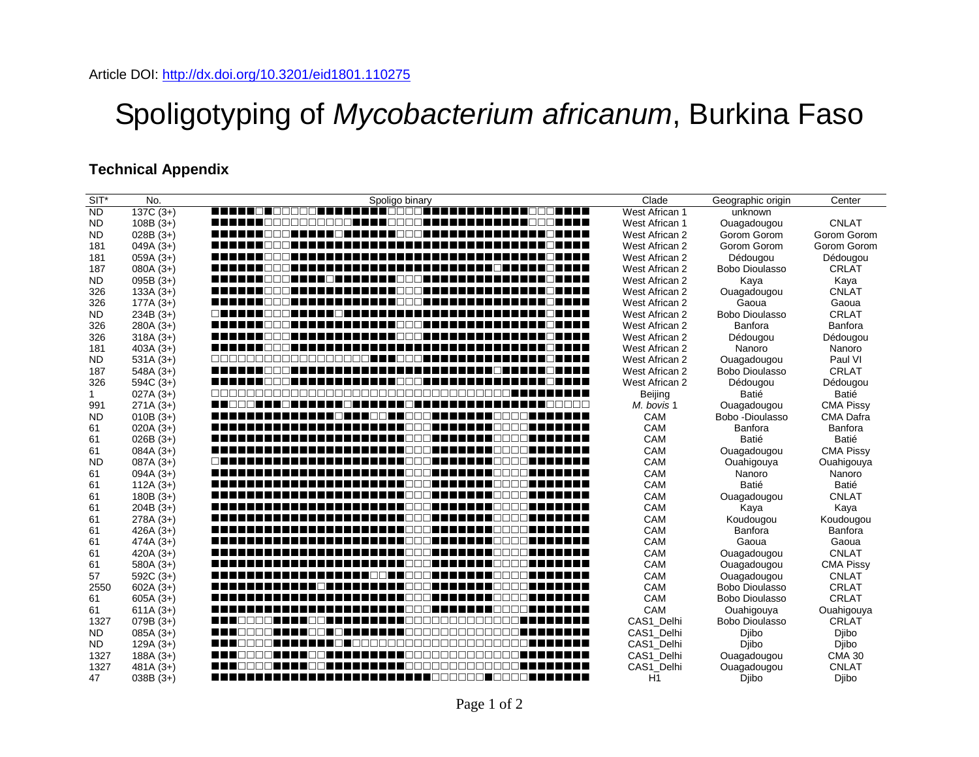## Spoligotyping of *Mycobacterium africanum*, Burkina Faso

## **Technical Appendix**

| $SIT^*$      | No.         | Spoligo binary                                               | Clade          | Geographic origin     | Center           |
|--------------|-------------|--------------------------------------------------------------|----------------|-----------------------|------------------|
| <b>ND</b>    | $137C(3+)$  | E E E E E E E E<br>7000 <b>00000000</b><br>.                 | West African 1 | unknown               |                  |
| <b>ND</b>    | $108B(3+)$  | E E E E E DOCODO DO DE E E DOCODE E<br>----------------      | West African 1 | Ouagadougou           | <b>CNLAT</b>     |
| ND           | $028B(3+)$  |                                                              | West African 2 | Gorom Gorom           | Gorom Gorom      |
| 181          | $049A(3+)$  | -------------------------------------                        | West African 2 | Gorom Gorom           | Gorom Gorom      |
| 181          | $059A(3+)$  |                                                              | West African 2 | Dédougou              | Dédougou         |
| 187          | $080A(3+)$  |                                                              | West African 2 | <b>Bobo Dioulasso</b> | <b>CRLAT</b>     |
| <b>ND</b>    | $095B(3+)$  |                                                              | West African 2 | Kaya                  | Kaya             |
| 326          | $133A(3+)$  |                                                              | West African 2 | Ouagadougou           | <b>CNLAT</b>     |
| 326          | $177A(3+)$  | ▆▆▆▆▆▅▕▕▔▎▔▏▆▅▅▅▅▅▅▅▅▅▅▅▅▅▕▏░▎▔▅▅▅▅▅▅▅▅▅▅▅▅▅▅▅▅▅▅▅▅▅▅        | West African 2 | Gaoua                 | Gaoua            |
| <b>ND</b>    | $234B(3+)$  |                                                              | West African 2 | Bobo Dioulasso        | <b>CRLAT</b>     |
| 326          | $280A(3+)$  |                                                              | West African 2 | Banfora               | Banfora          |
| 326          | $318A(3+)$  |                                                              | West African 2 | Dédougou              | Dédougou         |
| 181          | $403A(3+)$  | $\blacksquare$<br>-------- <b>-----</b> -                    | West African 2 | Nanoro                | Nanoro           |
| <b>ND</b>    | $531A(3+)$  |                                                              | West African 2 | Ouagadougou           | Paul VI          |
| 187          | $548A(3+)$  | --------------------<br>------------------                   | West African 2 | Bobo Dioulasso        | <b>CRLAT</b>     |
| 326          | $594C(3+)$  | n n<br>---------------------------                           | West African 2 | Dédougou              | Dédougou         |
| $\mathbf{1}$ | $027A(3+)$  |                                                              | Beijing        | Batié                 | Batié            |
| 991          | $271A(3+)$  |                                                              | M. bovis 1     | Ouagadougou           | <b>CMA Pissy</b> |
| ND           | $010B(3+)$  |                                                              | <b>CAM</b>     | Bobo - Dioulasso      | <b>CMA Dafra</b> |
| 61           | $020A(3+)$  |                                                              | CAM            | Banfora               | Banfora          |
| 61           | $026B(3+)$  | $\blacksquare$                                               | CAM            | Batié                 | Batié            |
| 61           | $084A(3+)$  |                                                              | CAM            | Ouagadougou           | <b>CMA Pissy</b> |
| ND           | $087A(3+)$  | __________________________________<br>an na mpiasa na mpiasa | CAM            | Ouahigouya            | Ouahigouya       |
| 61           | $094A(3+)$  | ______________________________<br>$\blacksquare$             | CAM            | Nanoro                | Nanoro           |
| 61           | $112A(3+)$  |                                                              | CAM            | Batié                 | Batié            |
| 61           | $180B(3+)$  |                                                              | CAM            | Ouagadougou           | <b>CNLAT</b>     |
| 61           | $204B(3+)$  | ▆▆▆▅▅▅▅▅▅▅▅▅▅▅▅▅▅▅▅▅▅▅▔░░▓▅▅▅▅▅▅▅▅▅▅▓▓                       | CAM            | Kaya                  | Kaya             |
| 61           | $278A(3+)$  | n n<br>NNNN I I<br>------------------------------            | CAM            | Koudougou             | Koudougou        |
| 61           | 426A $(3+)$ |                                                              | CAM            | Banfora               | Banfora          |
| 61           | $474A(3+)$  |                                                              | CAM            | Gaoua                 | Gaoua            |
| 61           | 420A $(3+)$ | m a<br>E E FIRMA E E E E E E E                               | CAM            | Ouagadougou           | <b>CNLAT</b>     |
| 61           | $580A(3+)$  | ▅▅                                                           | CAM            | Ouagadougou           | <b>CMA Pissy</b> |
| 57           | $592C(3+)$  |                                                              | CAM            | Ouagadougou           | <b>CNLAT</b>     |
| 2550         | $602A(3+)$  | ------------------------------                               | CAM            | Bobo Dioulasso        | <b>CRLAT</b>     |
| 61           | $605A(3+)$  | -------------------<br>7000 <b>-</b><br><b>.</b>             | CAM            | <b>Bobo Dioulasso</b> | <b>CRLAT</b>     |
| 61           | $611A(3+)$  | ▅▅                                                           | CAM            | Ouahigouya            | Ouahigouya       |
| 1327         | $079B(3+)$  |                                                              | CAS1 Delhi     | <b>Bobo Dioulasso</b> | <b>CRLAT</b>     |
| <b>ND</b>    | $085A(3+)$  |                                                              | CAS1_Delhi     | Djibo                 | Djibo            |
| <b>ND</b>    | $129A(3+)$  |                                                              | CAS1 Delhi     | Djibo                 | <b>Dibo</b>      |
| 1327         | $188A(3+)$  |                                                              | CAS1 Delhi     | Ouagadougou           | <b>CMA 30</b>    |
| 1327         | $481A(3+)$  | FIFICACA FIFICA FIFIFIFICACADADADADA FI                      | CAS1 Delhi     | Ouagadougou           | <b>CNLAT</b>     |
| 47           | $038B(3+)$  |                                                              | H1             | Diibo                 | Djibo            |